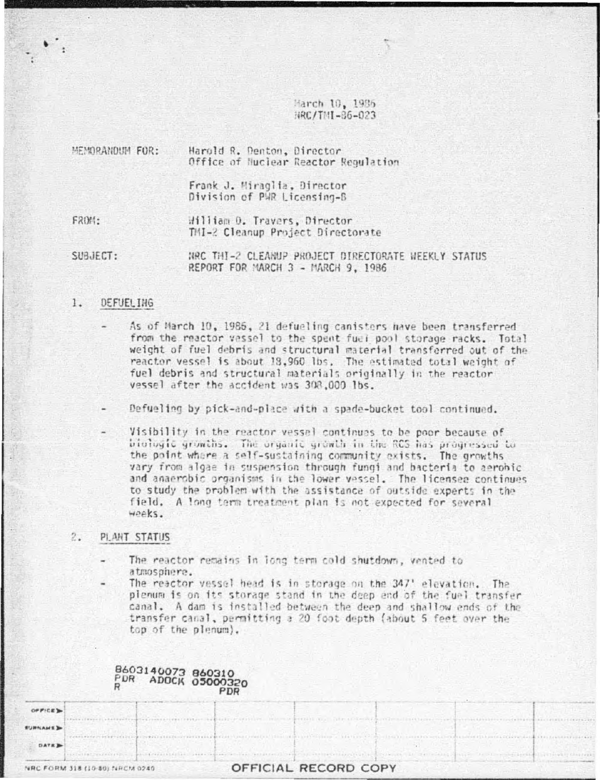March 10, 1936 NRC/TMI-86-023

| MEMORANDUM FOR: | Harold R. Denton, Director<br>Office of Huclear Reactor Regulation |
|-----------------|--------------------------------------------------------------------|
|                 | Frank J. Miraglia, Director<br>Division of PWR Licensing-B         |
| <b>FROM:</b>    | Hilliam D. Travers, Director<br>TMI-2 Cleanup Project Directorate  |

SUBJECT: HRC THI-2 CLEANUP PROJECT DIRECTORATE HEEKLY STATUS. REPORT FOR MARCH 3 - MARCH 9, 1986

#### 1. DEFUEL ING

- As of March 10, 1986, 21 defueling canisters have been transferred from the reactor vessel to the spent fuel pool storage racks. Total weight of fuel debris and structural material transferred out of the reactor vessel is about 18,960 lbs. The estimated total weight of fuel debris and structural materials originally in the reactor vessel after the accident was 308,000 lbs.
- Defueling by pick-and-place with a spade-bucket tool continued.
- Visibility in the reactor vessel continues to be poor because of biologic growths. The organic growth in the RCS has progressed to the point where a self-sustaining community exists. The growths vary from algae in suspension through fungi and bacteria to aerobic and anaerobic organisms in the lower vessel. The licensee continues to study the problem with the assistance of outside experts in the field. A long term treatment plan is not expected for several weeks.

## PLANT STATUS  $2.5$

- The reactor remains in long term cold shutdown, vented to atmosphere.
- The reactor vessel head is in storage on the 347' elevation. The plenum is on its storage stand in the deep end of the fuel transfer canal. A dam is installed between the deep and shallow ends of the transfer canal, permitting a 20 foot depth (about 5 feet over the top of the plenum).

|                                | PDR ADOCK 05000320 | PDR |                      |  |  |
|--------------------------------|--------------------|-----|----------------------|--|--|
| OF FICE                        |                    |     |                      |  |  |
| <b>SURNAME</b>                 |                    |     |                      |  |  |
| DATE B                         |                    |     |                      |  |  |
| NRC FORM 318 (10-80) NRCM 0240 |                    |     | OFFICIAL RECORD COPY |  |  |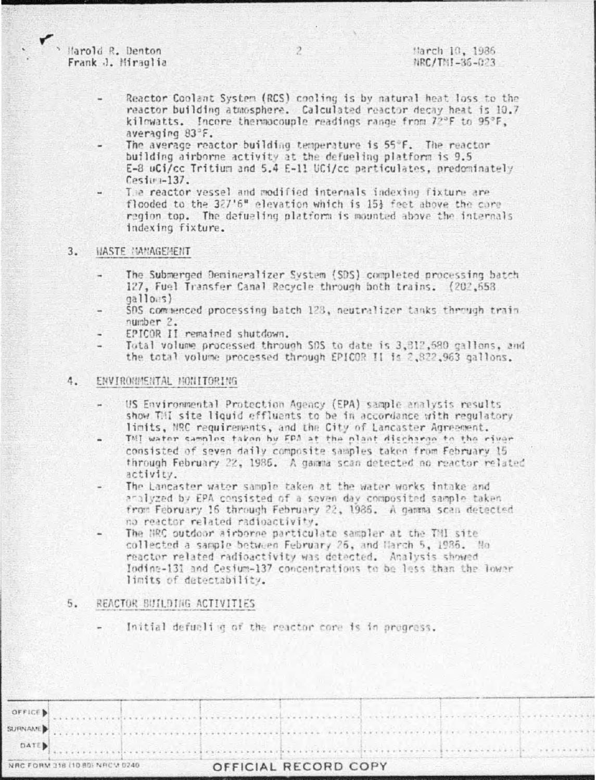Harold R. Denton Frank J. Miraglia

- Reactor Coolant System (RCS) cooling is by natural heat loss to the reactor building atmosphere. Calculated reactor decay heat is 10.7 kilowatts. Incore thermocouple readings range from 72°F to 95°F, averaging 83°F.
- The average reactor building temperature is 55°F. The reactor building airborne activity at the defueling platform is 9.5 E-8 uCi/cc Tritium and 5.4 E-11 UCi/cc particulates, predominately  $Cest(-137)$
- The reactor vessel and modified internals indexing fixture are flooded to the 327'6" elevation which is 15% feet above the core region top. The defueling platform is mounted above the internals indexing fixture.

#### **WASTE MANAGEMENT**  $3.$

- The Submerged Demineralizer System (SDS) completed processing batch 127, Fuel Transfer Canal Recycle through both trains, (202,653)  $qall0.5)$
- SDS commenced processing batch 123, neutralizer tanks through train number 2.
- EPICOR II remained shutdown.
- Total volume processed through SOS to date is 3.812.580 gallons, and the total volume processed through EPICOR II is 2,822,963 gallons.

#### 4. ENVIRONMENTAL MONITORING

- US Environmental Protection Agency (EPA) sample analysis results show THI site liquid effluents to be in accordance with requlatory limits, MRC requirements, and the City of Lancaster Agreement.
- TMI water samples taken by FPA at the plant discharge to the river consisted of seven daily composite samples taken from February 15 through February 22, 1986. A gamma scan detected no reactor related activity.
- The Lancaster water sample taken at the water works intake and analyzed by EPA consisted of a saven day composited sample taken from February 16 through February 22, 1986. A gamma scan detected no reactor related radioactivity.
- The NRC outdoor airborne particulate sampler at the TNI site collected a sample between February 26, and March 5, 1986. No reactor related radioactivity was detected. Analysis showed Iodine-131 and Cesium-137 concentrations to be less than the lower limits of detectability.

#### 5. REACTOR BUILDING ACTIVITIES

Initial defueling of the reactor core is in pregress.

| $\bullet$ office) |  |
|-------------------|--|

 $\overline{2}$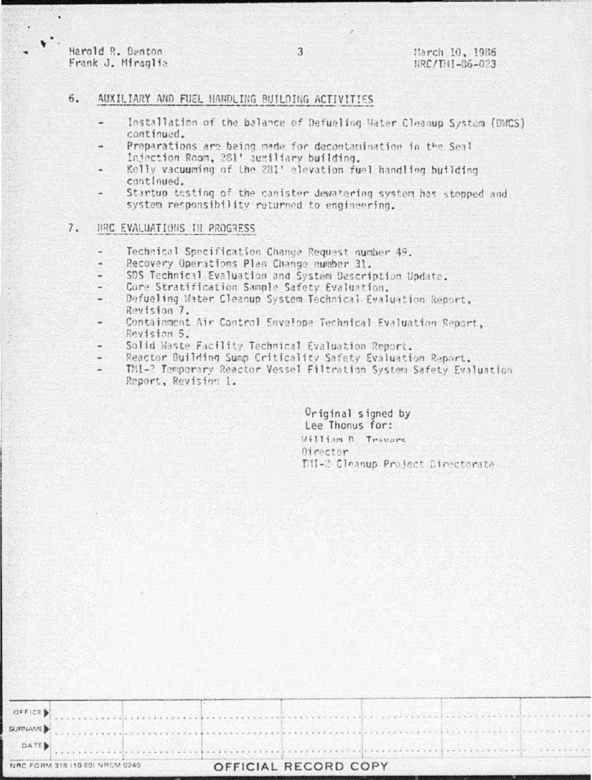Harold R. Denton Frank J. Miraglia

 $\sim$ 

# 6. AUXILIARY AND FUEL HANDLING BUILDING ACTIVITIES

Installation of the balance of Defueling Water Cleanup System (DMCS) continued.

3

- Preparations are being made for decontamination in the Seal Injection Room, 281' auxiliary building.
- Kelly vacuuming of the 281' elevation fuel handling building continued.
- Startup testing of the canister dewatering system has stopped and system responsibility returned to engineering.

### $7.$ HRC EVALUATIONS TH PROGRESS

- Technical Specification Change Request number 49,
- Recovery Operations Plan Change number 31.
- SDS Technical Evaluation and System Description Update.
- Core Stratification Sample Safety Evaluation.
- Defueling Water Cleanup System Technical Evaluation Report, Revision 7.
- Containment Air Control Envelope Technical Evaluation Report, Revision 5.
- Solid Waste Facility Technical Evaluation Report.
- Reactor Building Sump Criticality Safety Evaluation Report.
- TMI-? Temporary Reactor Vessel Filtration System Safety Evaluation Report, Revision 1.

Original signed by Lee Thonus for: William D. Travers **Birector** THI-2 Cleanup Project Directorate

|  | OFFICE  |  |
|--|---------|--|
|  | SURNAME |  |

DATE

# NRC FORM 318 (10.80) NRCM 0240

# OFFICIAL RECORD COPY